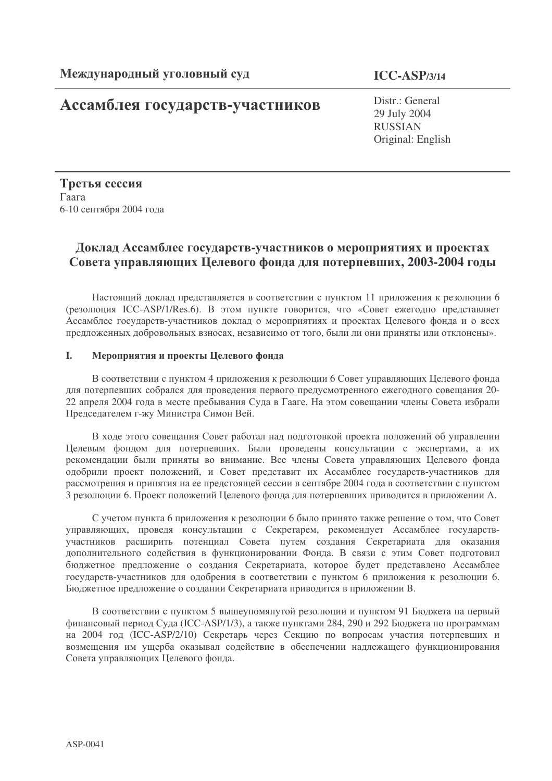## Ассамблея государств-участников

 $ICC-ASP/3/14$ 

Distr.: General 29 July 2004 **RUSSIAN** Original: English

Третья сессия Гаага 6-10 сентября 2004 года

## Доклад Ассамблее государств-участников о мероприятиях и проектах Совета управляющих Целевого фонда для потерпевших, 2003-2004 годы

Настоящий доклад представляется в соответствии с пунктом 11 приложения к резолюции 6 (резолюция ICC-ASP/1/Res.6). В этом пункте говорится, что «Совет ежегодно представляет Ассамблее государств-участников доклад о мероприятиях и проектах Пелевого фонда и о всех предложенных добровольных взносах, независимо от того, были ли они приняты или отклонены».

#### $\mathbf{L}$ Мероприятия и проекты Целевого фонда

В соответствии с пунктом 4 приложения к резолюции 6 Совет управляющих Целевого фонда для потерпевших собрался для проведения первого предусмотренного ежегодного совещания 20-22 апреля 2004 года в месте пребывания Суда в Гааге. На этом совещании члены Совета избрали Председателем г-жу Министра Симон Вей.

В ходе этого совещания Совет работал над подготовкой проекта положений об управлении Целевым фондом для потерпевших. Были проведены консультации с экспертами, а их рекомендации были приняты во внимание. Все члены Совета управляющих Целевого фонда одобрили проект положений, и Совет представит их Ассамблее государств-участников для рассмотрения и принятия на ее предстоящей сессии в сентябре 2004 года в соответствии с пунктом 3 резолюции 6. Проект положений Целевого фонда для потерпевших приводится в приложении А.

С учетом пункта 6 приложения к резолюции 6 было принято также решение о том, что Совет управляющих, проведя консультации с Секретарем, рекомендует Ассамблее государствучастников расширить потенциал Совета путем создания Секретариата для оказания дополнительного содействия в функционировании Фонда. В связи с этим Совет подготовил бюджетное предложение о создания Секретариата, которое будет представлено Ассамблее государств-участников для одобрения в соответствии с пунктом 6 приложения к резолюции 6. Бюджетное предложение о создании Секретариата приводится в приложении В.

В соответствии с пунктом 5 вышеупомянутой резолюции и пунктом 91 Бюджета на первый финансовый период Суда (ICC-ASP/1/3), а также пунктами 284, 290 и 292 Бюджета по программам на 2004 год (ICC-ASP/2/10) Секретарь через Секцию по вопросам участия потерпевших и возмещения им ущерба оказывал содействие в обеспечении надлежащего функционирования Совета управляющих Целевого фонда.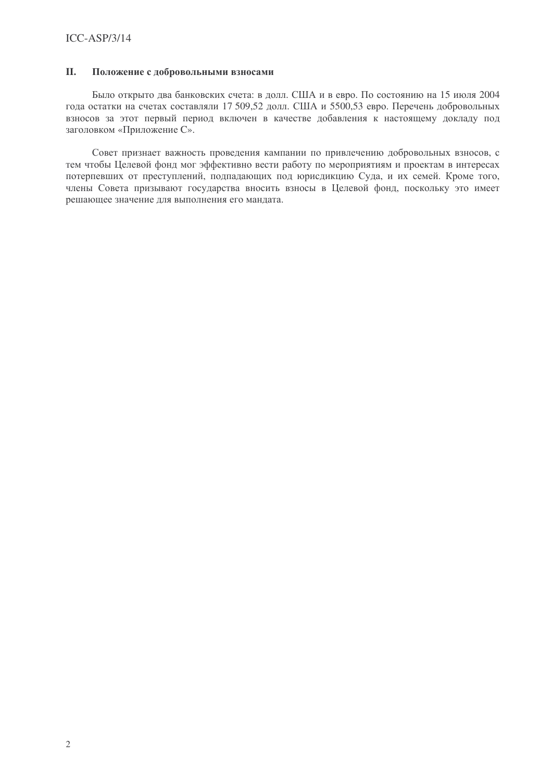#### II. Положение с добровольными взносами

Было открыто два банковских счета: в долл. США и в евро. По состоянию на 15 июля 2004 года остатки на счетах составляли 17 509,52 долл. США и 5500,53 евро. Перечень добровольных взносов за этот первый период включен в качестве добавления к настоящему докладу под заголовком «Приложение С».

Совет признает важность проведения кампании по привлечению добровольных взносов, с тем чтобы Целевой фонд мог эффективно вести работу по мероприятиям и проектам в интересах потерпевших от преступлений, подпадающих под юрисдикцию Суда, и их семей. Кроме того, члены Совета призывают государства вносить взносы в Целевой фонд, поскольку это имеет решающее значение для выполнения его мандата.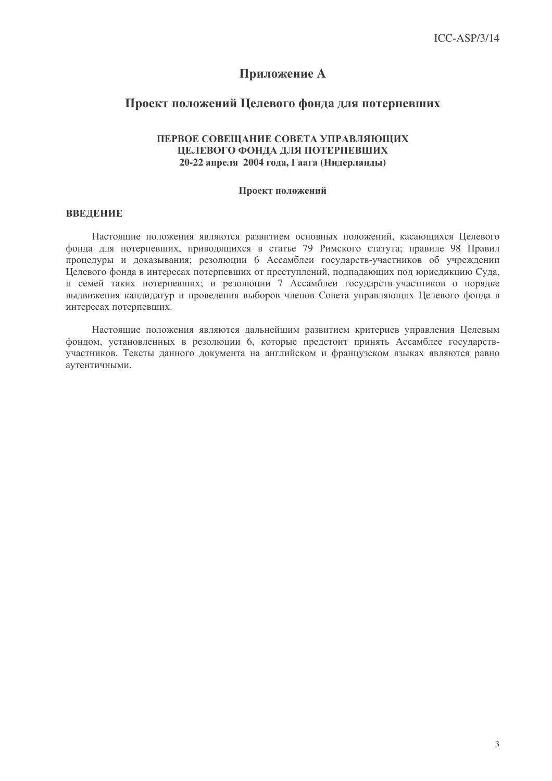## Приложение А

## Проект положений Целевого фонда для потерпевших

## ПЕРВОЕ СОВЕЩАНИЕ СОВЕТА УПРАВЛЯЮЩИХ ПЕЛЕВОГО ФОНЛА ЛЛЯ ПОТЕРПЕВШИХ 20-22 апреля 2004 года, Гаага (Нидерланды)

### Проект положений

## **ВВЕДЕНИЕ**

Настоящие положения являются развитием основных положений, касающихся Целевого фонда для потерпевших, приводящихся в статье 79 Римского статута; правиле 98 Правил процедуры и доказывания: резолюции 6 Ассамблеи государств-участников об учреждении Целевого фонда в интересах потерпевших от преступлений, подпадающих под юрисдикцию Суда, и семей таких потерпевших; и резолюции 7 Ассамблеи государств-участников о порядке выдвижения кандидатур и проведения выборов членов Совета управляющих Целевого фонда в интересах потерпевших.

Настоящие положения являются дальнейшим развитием критериев управления Целевым фондом, установленных в резолюции 6, которые предстоит принять Ассамблее государствучастников. Тексты данного документа на английском и французском языках являются равно аутентичными.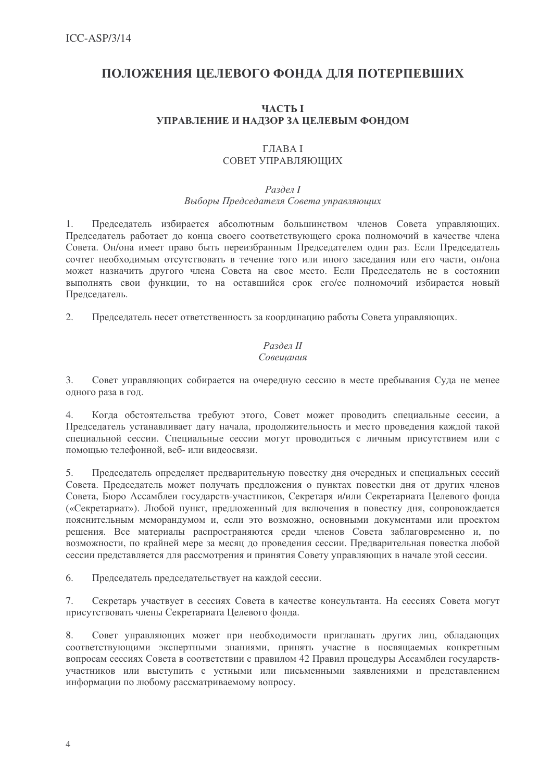## ПОЛОЖЕНИЯ ЦЕЛЕВОГО ФОНДА ДЛЯ ПОТЕРПЕВШИХ

## **ЧАСТЬ І** УПРАВЛЕНИЕ И НАДЗОР ЗА ЦЕЛЕВЫМ ФОНДОМ

## $\Gamma$ **TABAI** СОВЕТ УПРАВЛЯЮЩИХ

## Раздел І Выборы Председателя Совета управляющих

Председатель избирается абсолютным большинством членов Совета управляющих.  $1<sub>1</sub>$ Председатель работает до конца своего соответствующего срока полномочий в качестве члена Совета. Он/она имеет право быть переизбранным Председателем один раз. Если Председатель сочтет необходимым отсутствовать в течение того или иного заседания или его части, он/она может назначить другого члена Совета на свое место. Если Председатель не в состоянии выполнять свои функции, то на оставшийся срок ero/ee полномочий избирается новый Председатель.

 $2.$ Председатель несет ответственность за координацию работы Совета управляющих.

## Раздел II Совещания

Совет управляющих собирается на очередную сессию в месте пребывания Суда не менее  $3.$ одного раза в год.

Когда обстоятельства требуют этого, Совет может проводить специальные сессии, а  $\overline{4}$ Председатель устанавливает дату начала, продолжительность и место проведения каждой такой специальной сессии. Специальные сессии могут проводиться с личным присутствием или с помощью телефонной, веб-или видеосвязи.

 $5<sub>1</sub>$ Председатель определяет предварительную повестку дня очередных и специальных сессий Совета. Председатель может получать предложения о пунктах повестки дня от других членов Совета, Бюро Ассамблеи государств-участников, Секретаря и/или Секретариата Целевого фонда («Секретариат»). Любой пункт, предложенный для включения в повестку дня, сопровождается пояснительным меморандумом и, если это возможно, основными документами или проектом решения. Все материалы распространяются среди членов Совета заблаговременно и, по возможности, по крайней мере за месяц до проведения сессии. Предварительная повестка любой сессии представляется для рассмотрения и принятия Совету управляющих в начале этой сессии.

6. Председатель председательствует на каждой сессии.

7. Секретарь участвует в сессиях Совета в качестве консультанта. На сессиях Совета могут присутствовать члены Секретариата Целевого фонда.

 $8<sub>1</sub>$ Совет управляющих может при необходимости приглашать других лиц, обладающих соответствующими экспертными знаниями, принять участие в посвящаемых конкретным вопросам сессиях Совета в соответствии с правилом 42 Правил процедуры Ассамблеи государствучастников или выступить с устными или письменными заявлениями и представлением информации по любому рассматриваемому вопросу.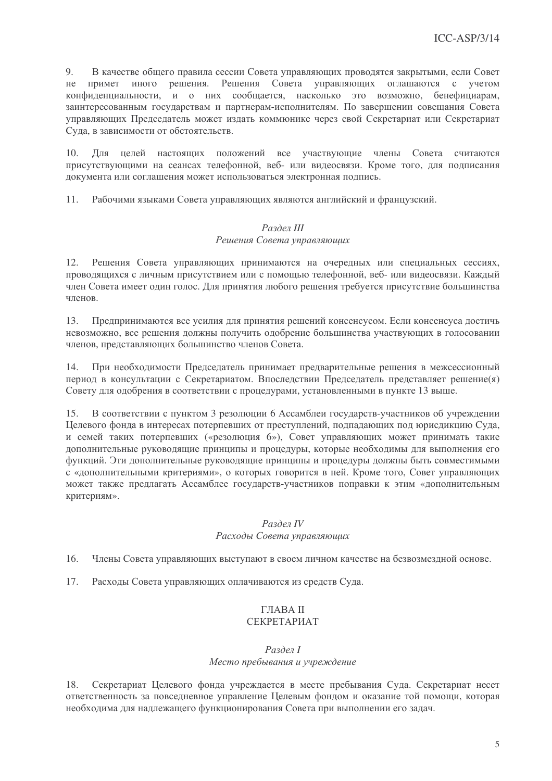9. В качестве общего правила сессии Совета управляющих проводятся закрытыми, если Совет иного решения. Решения Совета управляющих оглашаются  $He$ примет с учетом конфиденциальности, и о них сообщается, насколько это возможно, бенефициарам, заинтересованным государствам и партнерам-исполнителям. По завершении совещания Совета управляющих Председатель может издать коммюнике через свой Секретариат или Секретариат Суда, в зависимости от обстоятельств.

Лля целей настоящих положений все участвующие члены Совета считаются  $10<sub>1</sub>$ присутствующими на сеансах телефонной, веб- или видеосвязи. Кроме того, для подписания документа или соглашения может использоваться электронная подпись.

 $11.$ Рабочими языками Совета управляющих являются английский и французский.

## Раздел III Решения Совета управляющих

 $12.$ Решения Совета управляющих принимаются на очередных или специальных сессиях, проводящихся с личным присутствием или с помощью телефонной, веб- или видеосвязи. Каждый член Совета имеет один голос. Для принятия любого решения требуется присутствие большинства членов.

Предпринимаются все усилия для принятия решений консенсусом. Если консенсуса достичь 13. невозможно, все решения должны получить одобрение большинства участвующих в голосовании членов, представляющих большинство членов Совета.

При необходимости Председатель принимает предварительные решения в межсессионный 14. период в консультации с Секретариатом. Впоследствии Председатель представляет решение(я) Совету для одобрения в соответствии с процедурами, установленными в пункте 13 выше.

 $15.$ В соответствии с пунктом 3 резолюции 6 Ассамблеи государств-участников об учреждении Целевого фонда в интересах потерпевших от преступлений, подпадающих под юрисдикцию Суда, и семей таких потерпевших («резолюция 6»). Совет управляющих может принимать такие дополнительные руководящие принципы и процедуры, которые необходимы для выполнения его функций. Эти дополнительные руководящие принципы и процедуры должны быть совместимыми с «дополнительными критериями», о которых говорится в ней. Кроме того, Совет управляющих может также предлагать Ассамблее государств-участников поправки к этим «дополнительным критериям».

## Раздел IV Расходы Совета управляющих

 $16.$ Члены Совета управляющих выступают в своем личном качестве на безвозмездной основе.

17. Расходы Совета управляющих оплачиваются из средств Суда.

## **ГЛАВА II**

## СЕКРЕТАРИАТ

## Раздел І Место пребывания и учреждение

Секретариат Целевого фонда учреждается в месте пребывания Суда. Секретариат несет 18. ответственность за повседневное управление Целевым фондом и оказание той помощи, которая необходима для надлежащего функционирования Совета при выполнении его задач.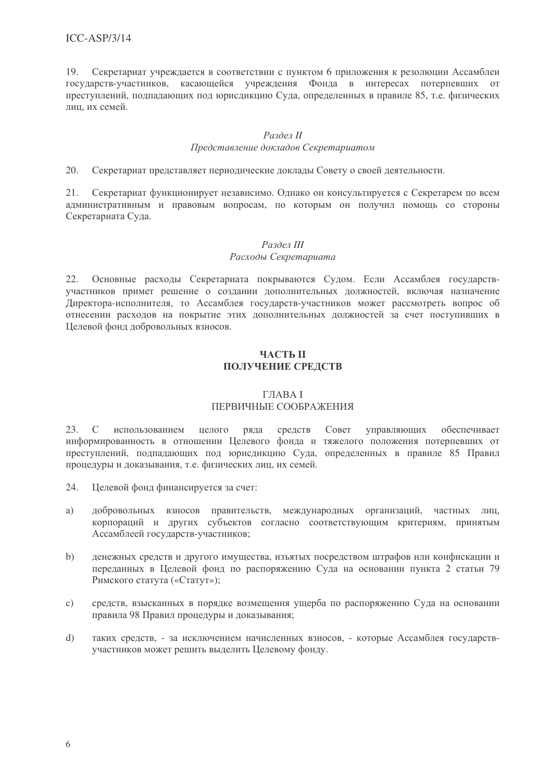19. Секретариат учреждается в соответствии с пунктом 6 приложения к резолюции Ассамблеи государств-участников, касающейся учреждения Фонда в интересах потерпевших от преступлений, подпадающих под юрисдикцию Суда, определенных в правиле 85, т.е. физических лиц, их семей.

## Раздел II

## Представление докладов Секретариатом

 $20<sup>1</sup>$ Секретариат представляет периодические доклады Совету о своей деятельности.

21. Секретариат функционирует независимо. Однако он консультируется с Секретарем по всем административным и правовым вопросам, по которым он получил помощь со стороны Секретариата Суда.

## Раздел III

## Расходы Секретариата

Основные расходы Секретариата покрываются Судом. Если Ассамблея государств- $22.$ участников примет решение о создании дополнительных должностей, включая назначение Директора-исполнителя, то Ассамблея государств-участников может рассмотреть вопрос об отнесении расходов на покрытие этих дополнительных должностей за счет поступивших в Целевой фонд добровольных взносов.

## ЧАСТЬ П ПОЛУЧЕНИЕ СРЕДСТВ

## **ГЛАВА I** ПЕРВИЧНЫЕ СООБРАЖЕНИЯ

использованием 23.  $\mathcal{C}$ целого ряда средств Совет управляющих обеспечивает информированность в отношении Целевого фонда и тяжелого положения потерпевших от преступлений, подпадающих под юрисдикцию Суда, определенных в правиле 85 Правил процедуры и доказывания, т.е. физических лиц, их семей.

- 24. Целевой фонд финансируется за счет:
- a) добровольных взносов правительств, международных организаций, частных лиц, корпораций и других субъектов согласно соответствующим критериям, принятым Ассамблеей государств-участников:
- $b)$ ленежных средств и другого имущества, изъятых посредством штрафов или конфискации и переданных в Целевой фонд по распоряжению Суда на основании пункта 2 статьи 79 Римского статута («Статут»);
- средств, взысканных в порядке возмещения ущерба по распоряжению Суда на основании  $c)$ правила 98 Правил процедуры и доказывания;
- $d)$ таких средств, - за исключением начисленных взносов, - которые Ассамблея государствучастников может решить выделить Целевому фонду.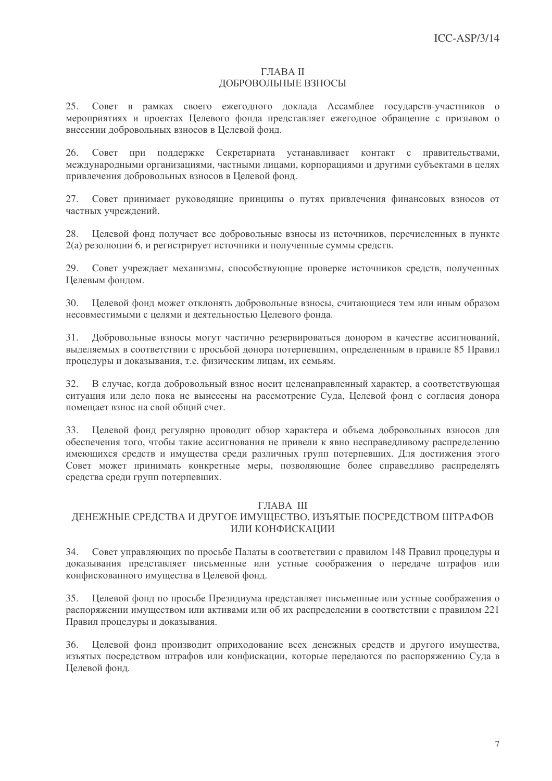## ГЛАВА II ДОБРОВОЛЬНЫЕ ВЗНОСЫ

25. Совет в рамках своего ежегодного доклада Ассамблее государств-участников о мероприятиях и проектах Целевого фонда представляет ежегодное обращение с призывом о внесении добровольных взносов в Целевой фонд.

26. Совет при поддержке Секретариата устанавливает контакт с правительствами, международными организациями, частными лицами, корпорациями и другими субъектами в целях привлечения добровольных взносов в Целевой фонд.

Совет принимает руководящие принципы о путях привлечения финансовых взносов от 27. частных учреждений.

Целевой фонд получает все добровольные взносы из источников, перечисленных в пункте 28. 2(а) резолюции 6, и регистрирует источники и полученные суммы средств.

Совет учреждает механизмы, способствующие проверке источников средств, полученных 29 Целевым фондом.

 $30<sup>2</sup>$ Пелевой фонд может отклонять добровольные взносы, считающиеся тем или иным образом несовместимыми с целями и деятельностью Целевого фонда.

Добровольные взносы могут частично резервироваться донором в качестве ассигнований, 31. выделяемых в соответствии с просьбой донора потерпевшим, определенным в правиле 85 Правил процедуры и доказывания, т.е. физическим лицам, их семьям.

32. В случае, когда добровольный взнос носит целенаправленный характер, а соответствующая ситуация или дело пока не вынесены на рассмотрение Суда, Целевой фонд с согласия донора помешает взнос на свой общий счет.

33. Целевой фонд регулярно проводит обзор характера и объема добровольных взносов для обеспечения того, чтобы такие ассигнования не привели к явно несправедливому распределению имеющихся средств и имущества среди различных групп потерпевших. Для достижения этого Совет может принимать конкретные меры, позволяющие более справедливо распределять средства среди групп потерпевших.

## ГЛАВА III

## ЛЕНЕЖНЫЕ СРЕЛСТВА И ЛРУГОЕ ИМУШЕСТВО, ИЗЪЯТЫЕ ПОСРЕЛСТВОМ ШТРАФОВ ИЛИ КОНФИСКАЦИИ

34. Совет управляющих по просьбе Палаты в соответствии с правилом 148 Правил процедуры и доказывания представляет письменные или устные соображения о передаче штрафов или конфискованного имущества в Целевой фонд.

35. Целевой фонд по просьбе Президиума представляет письменные или устные соображения о распоряжении имуществом или активами или об их распределении в соответствии с правилом 221 Правил процедуры и доказывания.

Целевой фонд производит оприходование всех денежных средств и другого имущества, 36. изъятых посредством штрафов или конфискации, которые передаются по распоряжению Суда в Целевой фонд.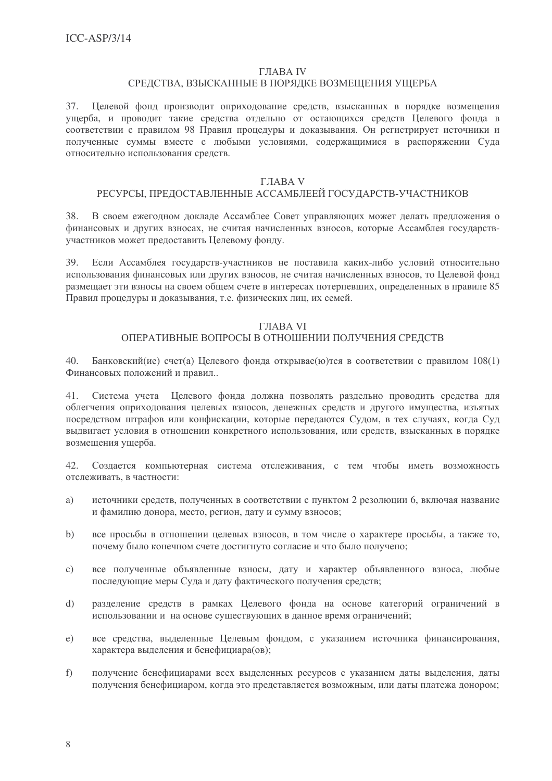## **ГЛАВА IV**

## СРЕДСТВА, ВЗЫСКАННЫЕ В ПОРЯДКЕ ВОЗМЕЩЕНИЯ УЩЕРБА

Целевой фонд производит оприходование средств, взысканных в порядке возмещения 37. ущерба, и проводит такие средства отдельно от остающихся средств Целевого фонда в соответствии с правилом 98 Правил процедуры и доказывания. Он регистрирует источники и полученные суммы вместе с любыми условиями, содержащимися в распоряжении Суда относительно использования средств.

## ГЛАВА V

## РЕСУРСЫ, ПРЕДОСТАВЛЕННЫЕ АССАМБЛЕЕЙ ГОСУДАРСТВ-УЧАСТНИКОВ

В своем ежегодном докладе Ассамблее Совет управляющих может делать предложения о 38. финансовых и других взносах, не считая начисленных взносов, которые Ассамблея государствучастников может предоставить Целевому фонду.

Если Ассамблея государств-участников не поставила каких-либо условий относительно 39. использования финансовых или других взносов, не считая начисленных взносов, то Целевой фонд размещает эти взносы на своем общем счете в интересах потерпевших, определенных в правиле 85 Правил процедуры и доказывания, т.е. физических лиц, их семей.

#### **ГЛАВА VI**

## ОПЕРАТИВНЫЕ ВОПРОСЫ В ОТНОШЕНИИ ПОЛУЧЕНИЯ СРЕДСТВ

40. Банковский (ие) счет(а) Целевого фонда открывае (ю) тся в соответствии с правилом 108(1) Финансовых положений и правил..

41. Система учета Целевого фонда должна позволять раздельно проводить средства для облегчения оприходования целевых взносов, денежных средств и другого имущества, изъятых посредством штрафов или конфискации, которые передаются Судом, в тех случаях, когда Суд выдвигает условия в отношении конкретного использования, или средств, взысканных в порядке возмешения ушерба.

 $42<sub>1</sub>$ Создается компьютерная система отслеживания, с тем чтобы иметь возможность отслеживать, в частности:

- a) источники средств, полученных в соответствии с пунктом 2 резолюции 6, включая название и фамилию донора, место, регион, дату и сумму взносов;
- все просьбы в отношении целевых взносов, в том числе о характере просьбы, а также то,  $h)$ почему было конечном счете достигнуто согласие и что было получено;
- все полученные объявленные взносы, дату и характер объявленного взноса, любые  $\mathbf{c})$ последующие меры Суда и дату фактического получения средств;
- $d)$ разделение средств в рамках Целевого фонда на основе категорий ограничений в использовании и на основе существующих в данное время ограничений;
- все средства, выделенные Целевым фондом, с указанием источника финансирования,  $e)$ характера выделения и бенефициара(ов);
- $f$ ) получение бенефициарами всех выделенных ресурсов с указанием даты выделения, даты получения бенефициаром, когда это представляется возможным, или даты платежа донором;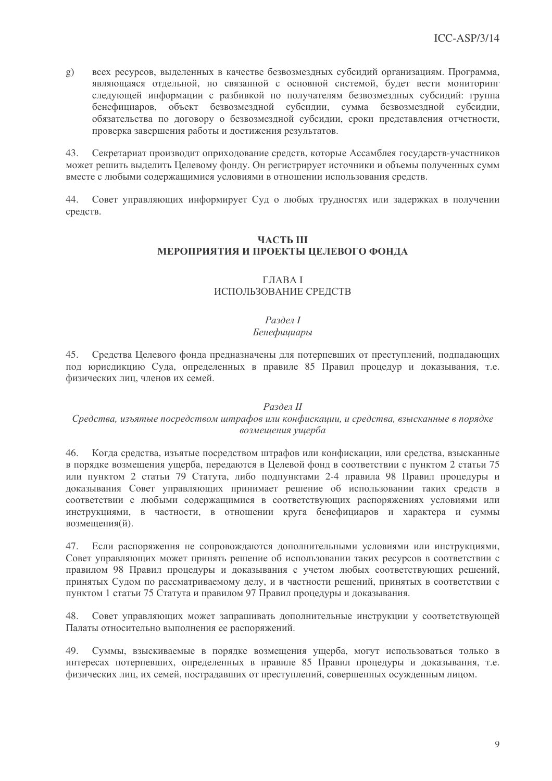всех ресурсов, выделенных в качестве безвозмездных субсидий организациям. Программа,  $g)$ являющаяся отдельной, но связанной с основной системой, будет вести мониторинг следующей информации с разбивкой по получателям безвозмездных субсидий: группа объект безвозмездной субсидии, сумма безвозмездной субсидии, бенефициаров, обязательства по договору о безвозмездной субсидии, сроки представления отчетности, проверка завершения работы и достижения результатов.

Секретариат производит оприходование средств, которые Ассамблея государств-участников 43. может решить выделить Целевому фонду. Он регистрирует источники и объемы полученных сумм вместе с любыми содержащимися условиями в отношении использования средств.

44 Совет управляющих информирует Суд о любых трудностях или задержках в получении средств.

## **ЧАСТЬ III** МЕРОПРИЯТИЯ И ПРОЕКТЫ ЦЕЛЕВОГО ФОНДА

## **ГЛАВА І** ИСПОЛЬЗОВАНИЕ СРЕЛСТВ

## Раздел І Бенефишиары

45. Средства Целевого фонда предназначены для потерпевших от преступлений, подпадающих под юрисдикцию Суда, определенных в правиле 85 Правил процедур и доказывания, т.е. физических лиц, членов их семей.

## Раздел II

## Средства, изъятые посредством штрафов или конфискации, и средства, взысканные в порядке возмешения ущерба

Когда средства, изъятые посредством штрафов или конфискации, или средства, взысканные 46. в порядке возмещения ущерба, передаются в Целевой фонд в соответствии с пунктом 2 статьи 75 или пунктом 2 статьи 79 Статута, либо подпунктами 2-4 правила 98 Правил процедуры и доказывания Совет управляющих принимает решение об использовании таких средств в соответствии с любыми содержащимися в соответствующих распоряжениях условиями или инструкциями, в частности, в отношении круга бенефициаров и характера и суммы возмешения(й).

Если распоряжения не сопровождаются дополнительными условиями или инструкциями, 47. Совет управляющих может принять решение об использовании таких ресурсов в соответствии с правилом 98 Правил процедуры и доказывания с учетом любых соответствующих решений, принятых Судом по рассматриваемому делу, и в частности решений, принятых в соответствии с пунктом 1 статьи 75 Статута и правилом 97 Правил процедуры и доказывания.

Совет управляющих может запрашивать дополнительные инструкции у соответствующей 48 Палаты относительно выполнения ее распоряжений.

Суммы, взыскиваемые в порядке возмещения ущерба, могут использоваться только в 49. интересах потерпевших, определенных в правиле 85 Правил процедуры и доказывания, т.е. физических лиц, их семей, пострадавших от преступлений, совершенных осужденным лицом.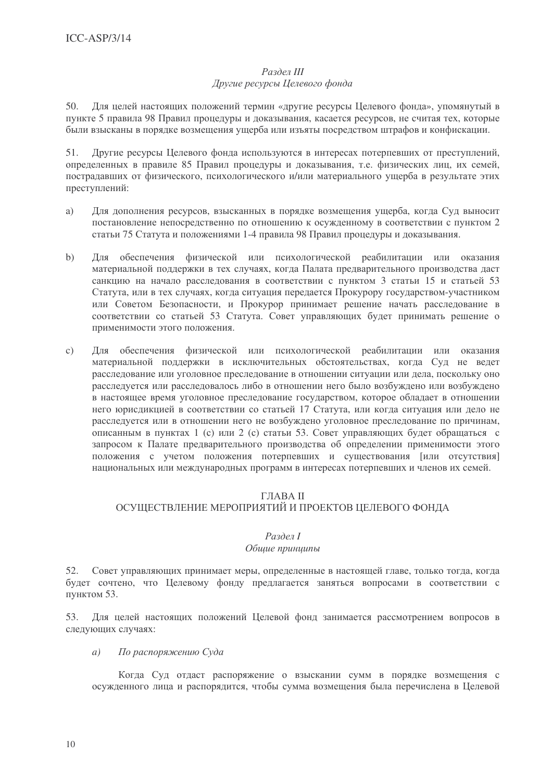# $Pa$ здел III

## Другие ресурсы Целевого фонда

Для целей настоящих положений термин «другие ресурсы Целевого фонда», упомянутый в  $50.$ пункте 5 правила 98 Правил процедуры и доказывания, касается ресурсов, не считая тех, которые были взысканы в порядке возмещения ущерба или изъяты посредством штрафов и конфискации.

 $51.$ Лругие ресурсы Пелевого фонда используются в интересах потерпевших от преступлений, определенных в правиле 85 Правил процедуры и доказывания, т.е. физических лиц, их семей, пострадавших от физического, психологического и/или материального ущерба в результате этих преступлений:

- a) Для дополнения ресурсов, взысканных в порядке возмещения ущерба, когда Суд выносит постановление непосредственно по отношению к осужденному в соответствии с пунктом 2 статьи 75 Статута и положениями 1-4 правила 98 Правил процедуры и доказывания.
- $b)$ Для обеспечения физической или психологической реабилитации или оказания материальной поддержки в тех случаях, когда Палата предварительного производства даст санкцию на начало расследования в соответствии с пунктом 3 статьи 15 и статьей 53 Статута, или в тех случаях, когда ситуация передается Прокурору государством-участником или Советом Безопасности, и Прокурор принимает решение начать расследование в соответствии со статьей 53 Статута. Совет управляющих будет принимать решение о применимости этого положения.
- Для обеспечения физической или психологической реабилитации или оказания  $\mathbf{c})$ материальной поддержки в исключительных обстоятельствах, когда Суд не ведет расследование или уголовное преследование в отношении ситуации или дела, поскольку оно расследуется или расследовалось либо в отношении него было возбуждено или возбуждено в настоящее время уголовное преследование государством, которое обладает в отношении него юрисдикцией в соответствии со статьей 17 Статута, или когда ситуация или дело не расследуется или в отношении него не возбуждено уголовное преследование по причинам, описанным в пунктах 1 (с) или 2 (с) статьи 53. Совет управляющих будет обращаться с запросом к Палате предварительного производства об определении применимости этого положения с учетом положения потерпевших и существования [или отсутствия] национальных или международных программ в интересах потерпевших и членов их семей.

## ГЛАВА II

## ОСУЩЕСТВЛЕНИЕ МЕРОПРИЯТИЙ И ПРОЕКТОВ ЦЕЛЕВОГО ФОНДА

## Раздел І

## Общие принципы

Совет управляющих принимает меры, определенные в настоящей главе, только тогда, когда 52. будет сочтено, что Целевому фонду предлагается заняться вопросами в соответствии с пунктом 53.

53. Лля целей настоящих положений Целевой фонд занимается рассмотрением вопросов в следующих случаях:

По распоряжению Суда  $\overline{a}$ )

Когда Суд отдаст распоряжение о взыскании сумм в порядке возмещения с осужденного лица и распорядится, чтобы сумма возмещения была перечислена в Целевой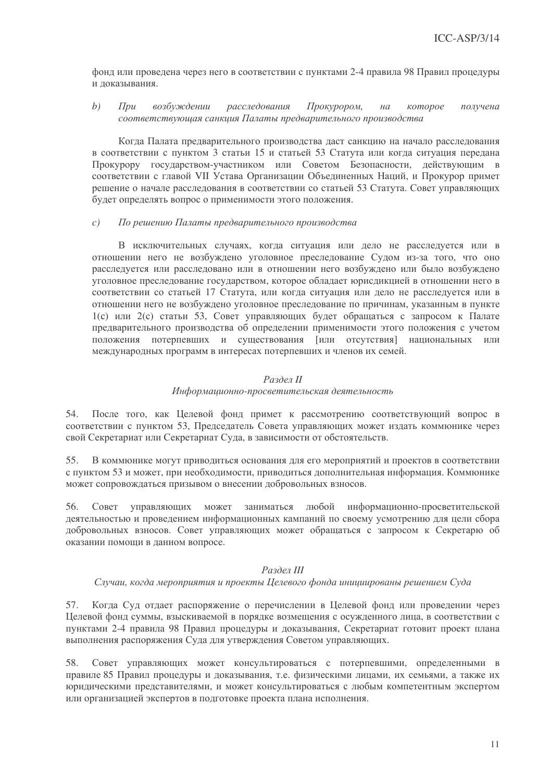фонд или проведена через него в соответствии с пунктами 2-4 правила 98 Правил процедуры и локазывания.

#### $b)$  $\prod$ pu возбуждении расследования Прокурором, которое  $Ha$ получена соответствующая санкция Палаты предварительного производства

Когда Палата предварительного производства даст санкцию на начало расследования в соответствии с пунктом 3 статьи 15 и статьей 53 Статута или когда ситуация передана Прокурору государством-участником или Советом Безопасности, действующим в соответствии с главой VII Устава Организации Объединенных Наций, и Прокурор примет решение о начале расследования в соответствии со статьей 53 Статута. Совет управляющих будет определять вопрос о применимости этого положения.

#### $c)$ По решению Палаты предварительного производства

В исключительных случаях, когда ситуация или дело не расследуется или в отношении него не возбуждено уголовное преследование Судом из-за того, что оно расследуется или расследовано или в отношении него возбуждено или было возбуждено уголовное преследование государством, которое обладает юрисликцией в отношении него в соответствии со статьей 17 Статута, или когда ситуация или дело не расследуется или в отношении него не возбуждено уголовное преследование по причинам, указанным в пункте 1(с) или 2(с) статьи 53, Совет управляющих будет обращаться с запросом к Палате предварительного производства об определении применимости этого положения с учетом положения потерпевших и существования [или отсутствия] национальных или международных программ в интересах потерпевших и членов их семей.

### Раздел II

## Информационно-просветительская деятельность

54. После того, как Целевой фонд примет к рассмотрению соответствующий вопрос в соответствии с пунктом 53, Председатель Совета управляющих может издать коммюнике через свой Секретариат или Секретариат Суда, в зависимости от обстоятельств.

55. В коммюнике могут приводиться основания для его мероприятий и проектов в соответствии с пунктом 53 и может, при необходимости, приводиться дополнительная информация. Коммюнике может сопровождаться призывом о внесении добровольных взносов.

56. информационно-просветительской Совет управляющих может заниматься любой деятельностью и проведением информационных кампаний по своему усмотрению для цели сбора добровольных взносов. Совет управляющих может обращаться с запросом к Секретарю об оказании помощи в данном вопросе.

## Раздел III

## Случаи, когда мероприятия и проекты Целевого фонда инициированы решением Суда

57. Когда Суд отдает распоряжение о перечислении в Целевой фонд или проведении через Пелевой фонд суммы, взыскиваемой в порядке возмещения с осужденного лица, в соответствии с пунктами 2-4 правила 98 Правил процедуры и доказывания, Секретариат готовит проект плана выполнения распоряжения Суда для утверждения Советом управляющих.

58. Совет управляющих может консультироваться с потерпевшими, определенными в правиле 85 Правил процедуры и доказывания, т.е. физическими лицами, их семьями, а также их юридическими представителями, и может консультироваться с любым компетентным экспертом или организацией экспертов в подготовке проекта плана исполнения.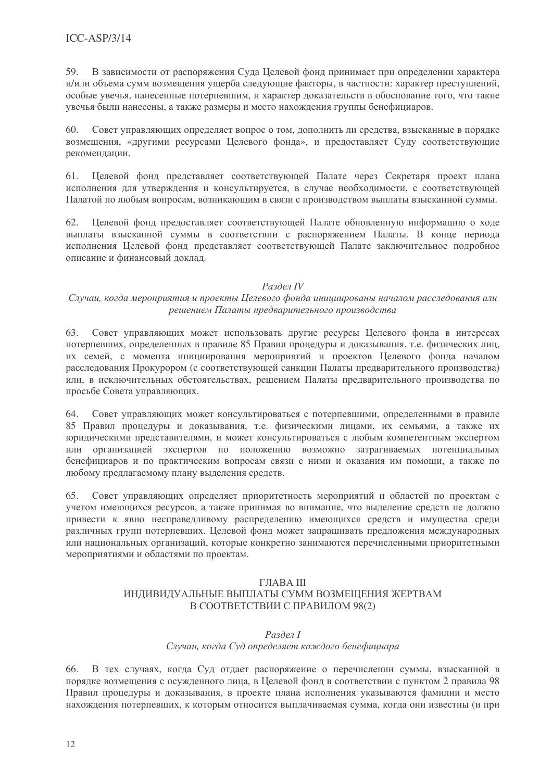В зависимости от распоряжения Суда Целевой фонд принимает при определении характера 59. и/или объема сумм возмещения ущерба следующие факторы, в частности: характер преступлений, особые увечья, нанесенные потерпевшим, и характер доказательств в обоснование того, что такие увечья были нанесены, а также размеры и место нахождения группы бенефициаров.

Совет управляющих определяет вопрос о том, дополнить ли средства, взысканные в порядке  $60.$ возмещения, «другими ресурсами Целевого фонда», и предоставляет Суду соответствующие рекомендации.

61. Целевой фонд представляет соответствующей Палате через Секретаря проект плана исполнения для утверждения и консультируется, в случае необходимости, с соответствующей Палатой по любым вопросам, возникающим в связи с производством выплаты взысканной суммы.

62. Целевой фонд предоставляет соответствующей Палате обновленную информацию о ходе выплаты взысканной суммы в соответствии с распоряжением Палаты. В конце периода исполнения Целевой фонд представляет соответствующей Палате заключительное подробное описание и финансовый доклад.

## Раздел IV

## Случаи, когда мероприятия и проекты Целевого фонда инициированы началом расследования или решением Палаты предварительного производства

Совет управляющих может использовать другие ресурсы Целевого фонда в интересах 63. потерпевших, определенных в правиле 85 Правил процедуры и доказывания, т.е. физических лиц, их семей, с момента инициирования мероприятий и проектов Целевого фонда началом расследования Прокурором (с соответствующей санкции Палаты предварительного производства) или, в исключительных обстоятельствах, решением Палаты предварительного производства по просьбе Совета управляющих.

64. Совет управляющих может консультироваться с потерпевшими, определенными в правиле 85 Правил процедуры и доказывания, т.е. физическими лицами, их семьями, а также их юридическими представителями, и может консультироваться с любым компетентным экспертом или организацией экспертов по положению возможно затрагиваемых потенциальных бенефициаров и по практическим вопросам связи с ними и оказания им помощи, а также по любому предлагаемому плану выделения средств.

Совет управляющих определяет приоритетность мероприятий и областей по проектам с 65. учетом имеющихся ресурсов, а также принимая во внимание, что выделение средств не должно привести к явно несправедливому распределению имеющихся средств и имущества среди различных групп потерпевших. Целевой фонд может запрашивать предложения международных или национальных организаций, которые конкретно занимаются перечисленными приоритетными мероприятиями и областями по проектам.

## ГЛАВА III ИНЛИВИЛУАЛЬНЫЕ ВЫПЛАТЫ СУММ ВОЗМЕШЕНИЯ ЖЕРТВАМ В СООТВЕТСТВИИ С ПРАВИЛОМ 98(2)

## Раздел І

## Случаи, когда Суд определяет каждого бенефициара

В тех случаях, когда Суд отдает распоряжение о перечислении суммы, взысканной в 66. порядке возмещения с осужденного лица, в Целевой фонд в соответствии с пунктом 2 правила 98 Правил процедуры и доказывания, в проекте плана исполнения указываются фамилии и место нахождения потерпевших, к которым относится выплачиваемая сумма, когда они известны (и при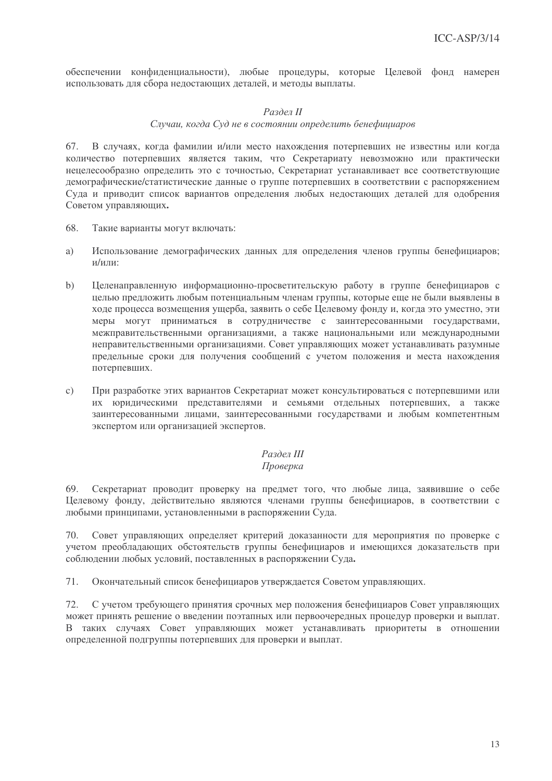обеспечении конфиденциальности), любые процедуры, которые Целевой фонд намерен использовать для сбора недостающих деталей, и методы выплаты.

## Раздел II

### Случаи, когда Суд не в состоянии определить бенефициаров

В случаях, когда фамилии и/или место нахождения потерпевших не известны или когда 67. количество потерпевших является таким, что Секретариату невозможно или практически нецелесообразно определить это с точностью, Секретариат устанавливает все соответствующие демографические/статистические данные о группе потерпевших в соответствии с распоряжением Суда и приводит список вариантов определения любых недостающих деталей для одобрения Советом управляющих.

- 68. Такие варианты могут включать:
- a) Использование демографических данных для определения членов группы бенефициаров; и/или:
- $b)$ Целенаправленную информационно-просветительскую работу в группе бенефициаров с целью предложить любым потенциальным членам группы, которые еще не были выявлены в ходе процесса возмещения ущерба, заявить о себе Целевому фонду и, когда это уместно, эти меры могут приниматься в сотрудничестве с заинтересованными государствами, межправительственными организациями, а также национальными или международными неправительственными организациями. Совет управляющих может устанавливать разумные предельные сроки для получения сообщений с учетом положения и места нахождения потерпевших.
- $\mathcal{C}$ ) При разработке этих вариантов Секретариат может консультироваться с потерпевшими или их юрилическими прелставителями и семьями отдельных потерпевших, а также заинтересованными лицами, заинтересованными государствами и любым компетентным экспертом или организацией экспертов.

## Раздел III

## Проверка

Секретариат проводит проверку на предмет того, что любые лица, заявившие о себе 69. Целевому фонду, действительно являются членами группы бенефициаров, в соответствии с любыми принципами, установленными в распоряжении Суда.

70 Совет управляющих определяет критерий доказанности для мероприятия по проверке с учетом преобладающих обстоятельств группы бенефициаров и имеющихся доказательств при соблюдении любых условий, поставленных в распоряжении Суда.

71. Окончательный список бенефициаров утверждается Советом управляющих.

С учетом требующего принятия срочных мер положения бенефициаров Совет управляющих 72. может принять решение о введении поэтапных или первоочередных процедур проверки и выплат. В таких случаях Совет управляющих может устанавливать приоритеты в отношении определенной подгруппы потерпевших для проверки и выплат.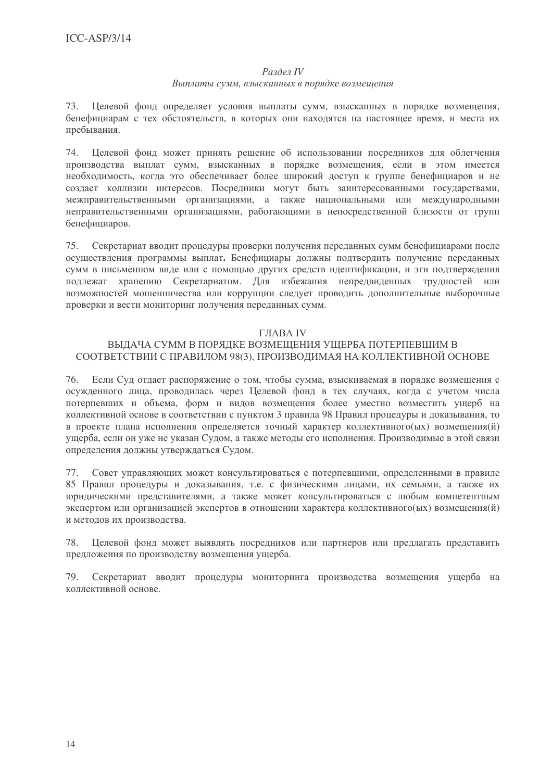## Раздел IV

## Выплаты сумм, взысканных в порядке возмещения

73. Целевой фонд определяет условия выплаты сумм, взысканных в порядке возмещения, бенефициарам с тех обстоятельств, в которых они находятся на настоящее время, и места их пребывания.

Целевой фонд может принять решение об использовании посредников для облегчения 74. производства выплат сумм, взысканных в порядке возмешения, если в этом имеется необходимость, когда это обеспечивает более широкий доступ к группе бенефициаров и не создает коллизии интересов. Посредники могут быть заинтересованными государствами, межправительственными организациями, а также национальными или международными неправительственными организациями, работающими в непосредственной близости от групп бенефициаров.

75. Секретариат вводит процедуры проверки получения переданных сумм бенефициарами после осуществления программы выплат. Бенефициары должны подтвердить получение переданных сумм в письменном виде или с помошью других средств идентификации, и эти подтверждения подлежат хранению Секретариатом. Для избежания непредвиденных трудностей или возможностей мошенничества или коррупции следует проводить дополнительные выборочные проверки и вести мониторинг получения переданных сумм.

## ГЛАВА IV

## ВЫДАЧА СУММ В ПОРЯДКЕ ВОЗМЕЩЕНИЯ УЩЕРБА ПОТЕРПЕВШИМ В СООТВЕТСТВИИ С ПРАВИЛОМ 98(3), ПРОИЗВОДИМАЯ НА КОЛЛЕКТИВНОЙ ОСНОВЕ

76. Если Суд отдает распоряжение о том, чтобы сумма, взыскиваемая в порядке возмещения с осужденного лица, проводилась через Целевой фонд в тех случаях, когда с учетом числа потерпевших и объема, форм и видов возмещения более уместно возместить ущерб на коллективной основе в соответствии с пунктом 3 правила 98 Правил процедуры и доказывания, то в проекте плана исполнения определяется точный характер коллективного(ых) возмещения(й) ущерба, если он уже не указан Судом, а также методы его исполнения. Производимые в этой связи определения должны утверждаться Судом.

Совет управляющих может консультироваться с потерпевшими, определенными в правиле 77. 85 Правил процедуры и доказывания, т.е. с физическими лицами, их семьями, а также их юридическими представителями, а также может консультироваться с любым компетентным экспертом или организацией экспертов в отношении характера коллективного(ых) возмещения (й) и методов их производства.

78. Целевой фонд может выявлять посредников или партнеров или предлагать представить предложения по производству возмещения ущерба.

79. Секретариат вводит процедуры мониторинга производства возмещения ущерба на коллективной основе.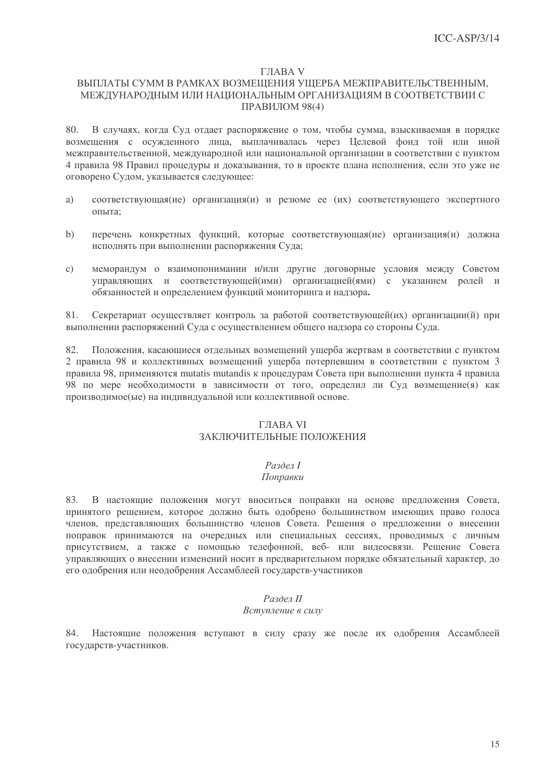## **ГЛАВА V**

## ВЫПЛАТЫ СУММ В РАМКАХ ВОЗМЕЩЕНИЯ УЩЕРБА МЕЖПРАВИТЕЛЬСТВЕННЫМ, МЕЖДУНАРОДНЫМ ИЛИ НАЦИОНАЛЬНЫМ ОРГАНИЗАЦИЯМ В СООТВЕТСТВИИ С ПРАВИЛОМ 98(4)

В случаях, когда Суд отдает распоряжение о том, чтобы сумма, взыскиваемая в порядке 80. возмещения с осужденного лица, выплачивалась через Целевой фонд той или иной межправительственной, межлународной или национальной организации в соответствии с пунктом 4 правила 98 Правил процедуры и доказывания, то в проекте плана исполнения, если это уже не оговорено Судом, указывается следующее:

- $\alpha$ оответствующая(ие) организация(и) и резюме ее (их) соответствующего экспертного a) ОПЫТА:
- $b)$ перечень конкретных функций, которые соответствующая(ие) организация(и) должна исполнять при выполнении распоряжения Суда;
- меморандум о взаимопонимании и/или другие договорные условия между Советом  $\mathbf{c})$ управляющих и соответствующей(ими) организацией(ями) с указанием ролей и обязанностей и определением функций мониторинга и надзора.

Секретариат осуществляет контроль за работой соответствующей (их) организации (й) при 81. выполнении распоряжений Суда с осуществлением общего надзора со стороны Суда.

Положения, касающиеся отдельных возмещений ущерба жертвам в соответствии с пунктом 82. 2 правила 98 и коллективных возмещений ущерба потерпевшим в соответствии с пунктом 3 правила 98, применяются mutatis mutandis к процедурам Совета при выполнении пункта 4 правила 98 по мере необходимости в зависимости от того, определил ли Суд возмещение(я) как производимое(ые) на индивидуальной или коллективной основе.

## *THABA VI* ЗАКЛЮЧИТЕЛЬНЫЕ ПОЛОЖЕНИЯ

## Раздел І

## Поправки

83. В настоящие положения могут вноситься поправки на основе предложения Совета, принятого решением, которое должно быть одобрено большинством имеющих право голоса членов, представляющих большинство членов Совета. Решения о предложении о внесении поправок принимаются на очередных или специальных сессиях, проводимых с личным присутствием, а также с помощью телефонной, веб- или видеосвязи. Решение Совета управляющих о внесении изменений носит в предварительном порядке обязательный характер, до его одобрения или неодобрения Ассамблеей государств-участников

## Раздел II

## Вступление в силу

84. Настоящие положения вступают в силу сразу же после их одобрения Ассамблеей государств-участников.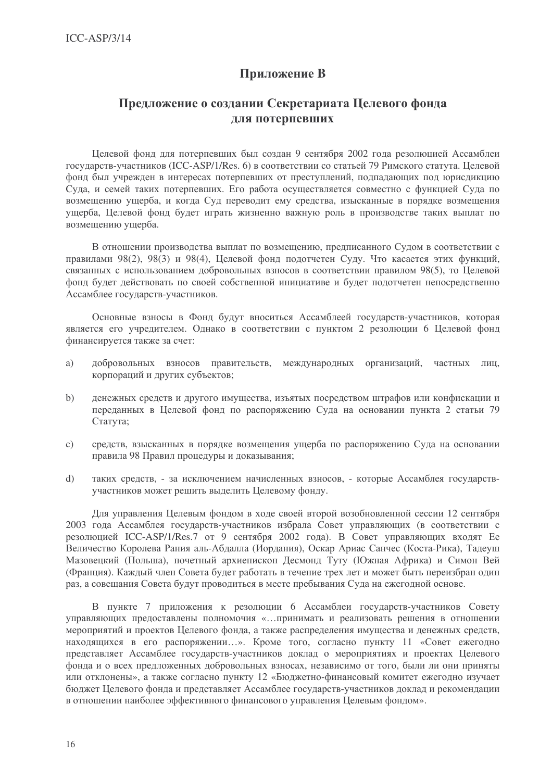## Приложение В

## Предложение о создании Секретариата Целевого фонда лля потерпевших

Целевой фонд для потерпевших был создан 9 сентября 2002 года резолюцией Ассамблеи государств-участников (ICC-ASP/1/Res. 6) в соответствии со статьей 79 Римского статута. Целевой фонд был учрежден в интересах потерпевших от преступлений, подпадающих под юрисдикцию Суда, и семей таких потерпевших. Его работа осуществляется совместно с функцией Суда по возмешению ушерба, и когда Суд переводит ему средства, изысканные в порядке возмешения ущерба, Целевой фонд будет играть жизненно важную роль в производстве таких выплат по возмещению ущерба.

В отношении производства выплат по возмещению, предписанного Судом в соответствии с правилами 98(2), 98(3) и 98(4), Целевой фонд подотчетен Суду. Что касается этих функций, связанных с использованием добровольных взносов в соответствии правилом 98(5), то Целевой фонд будет действовать по своей собственной инициативе и будет подотчетен непосредственно Ассамблее государств-участников.

Основные взносы в Фонд будут вноситься Ассамблеей государств-участников, которая является его учредителем. Однако в соответствии с пунктом 2 резолюции 6 Целевой фонд финансируется также за счет:

- a) добровольных взносов правительств, международных организаций, частных лиц, корпораций и других субъектов;
- денежных средств и другого имущества, изъятых посредством штрафов или конфискации и  $\mathbf{b}$ переданных в Целевой фонд по распоряжению Суда на основании пункта 2 статьи 79 Статута;
- средств, взысканных в порядке возмешения ушерба по распоряжению Суда на основании  $\mathcal{C}$ ) правила 98 Правил процедуры и доказывания:
- таких средств, за исключением начисленных взносов, которые Ассамблея государств $d)$ участников может решить выделить Целевому фонду.

Для управления Целевым фондом в ходе своей второй возобновленной сессии 12 сентября 2003 года Ассамблея государств-участников избрала Совет управляющих (в соответствии с резолюцией ICC-ASP/1/Res.7 от 9 сентября 2002 года). В Совет управляющих входят Ее Величество Королева Рания аль-Абдалла (Иордания), Оскар Ариас Санчес (Коста-Рика), Тадеуш Мазовецкий (Польша), почетный архиепископ Десмонд Туту (Южная Африка) и Симон Вей (Франция). Каждый член Совета будет работать в течение трех лет и может быть переизбран один раз, а совещания Совета будут проводиться в месте пребывания Суда на ежегодной основе.

В пункте 7 приложения к резолюции 6 Ассамблеи государств-участников Совету управляющих предоставлены полномочия «... принимать и реализовать решения в отношении мероприятий и проектов Целевого фонда, а также распределения имущества и денежных средств, находящихся в его распоряжении...». Кроме того, согласно пункту 11 «Совет ежегодно представляет Ассамблее государств-участников доклад о мероприятиях и проектах Целевого фонда и о всех предложенных добровольных взносах, независимо от того, были ли они приняты или отклонены», а также согласно пункту 12 «Бюджетно-финансовый комитет ежегодно изучает бюджет Целевого фонда и представляет Ассамблее государств-участников доклад и рекомендации в отношении наиболее эффективного финансового управления Целевым фондом».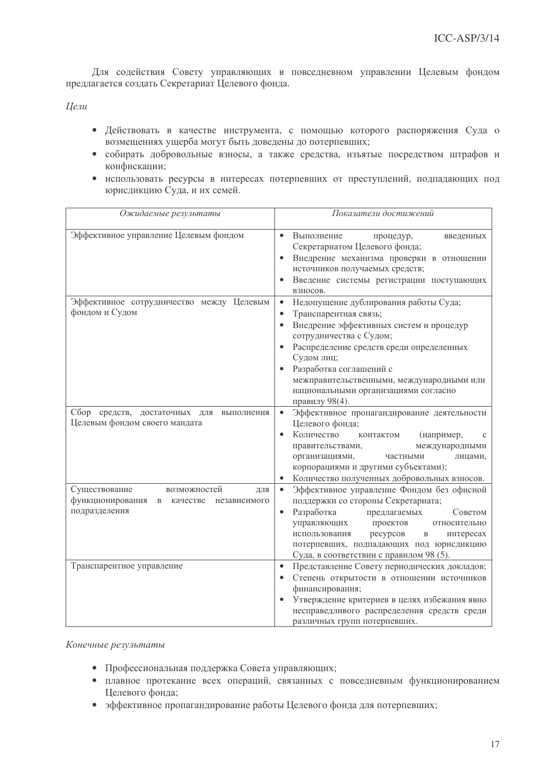Для содействия Совету управляющих в повседневном управлении Целевым фондом предлагается создать Секретариат Целевого фонда.

Цели

- Действовать в качестве инструмента, с помощью которого распоряжения Суда о возмещениях ущерба могут быть доведены до потерпевших;
- собирать добровольные взносы, а также средства, изъятые посредством штрафов и конфискации;
- использовать ресурсы в интересах потерпевших от преступлений, подпадающих под юрисдикцию Суда, и их семей.

| Ожидаемые результаты                                                                                                  | Показатели достижений                                                                                                                                                                                                                                                                                                                         |  |  |
|-----------------------------------------------------------------------------------------------------------------------|-----------------------------------------------------------------------------------------------------------------------------------------------------------------------------------------------------------------------------------------------------------------------------------------------------------------------------------------------|--|--|
| Эффективное управление Целевым фондом                                                                                 | Выполнение<br>процедур,<br>введенных<br>Секретариатом Целевого фонда;<br>Внедрение механизма проверки в отношении<br>источников получаемых средств;<br>Введение системы регистрации поступающих<br>взносов.                                                                                                                                   |  |  |
| Эффективное сотрудничество между Целевым<br>фондом и Судом                                                            | Недопущение дублирования работы Суда;<br>$\bullet$<br>Транспарентная связь;<br>Внедрение эффективных систем и процедур<br>сотрудничества с Судом;<br>Распределение средств среди определенных<br>Судом лиц;<br>Разработка соглашений с<br>межправительственными, международными или<br>национальными организациями согласно<br>правилу 98(4). |  |  |
| Сбор средств, достаточных для<br>выполнения<br>Целевым фондом своего мандата                                          | Эффективное пропагандирование деятельности<br>Целевого фонда;<br>Количество<br>$\bullet$<br>(например,<br>контактом<br>c<br>правительствами,<br>международными<br>организациями,<br>частными<br>лицами,<br>корпорациями и другими субъектами);<br>Количество полученных добровольных взносов.                                                 |  |  |
| Существование<br>возможностей<br>ДЛЯ<br>функционирования<br>$\, {\bf B}$<br>независимого<br>качестве<br>подразделения | Эффективное управление Фондом без офисной<br>$\bullet$<br>поддержки со стороны Секретариата;<br>Разработка<br>предлагаемых<br>$\bullet$<br>Советом<br>управляющих<br>проектов<br>относительно<br>ресурсов<br>$\, {\bf B}$<br>интересах<br>использования<br>потерпевших, подпадающих под юрисдикцию<br>Суда, в соответствии с правилом 98 (5). |  |  |
| Транспарентное управление                                                                                             | Представление Совету периодических докладов;<br>$\bullet$<br>Степень открытости в отношении источников<br>финансирования;<br>Утверждение критериев в целях избежания явно<br>несправедливого распределения средств среди<br>различных групп потерпевших.                                                                                      |  |  |

#### Конечные результаты

- Профессиональная поддержка Совета управляющих;
- плавное протекание всех операций, связанных с повседневным функционированием Целевого фонда;
- эффективное пропагандирование работы Целевого фонда для потерпевших;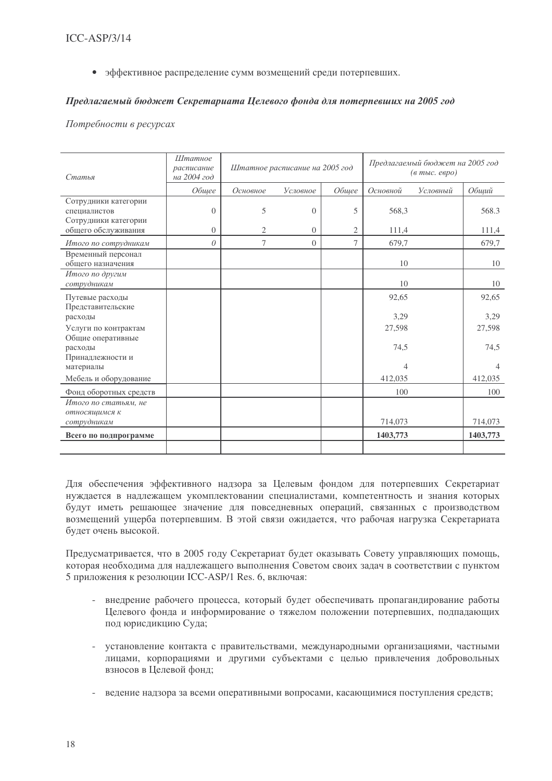• эффективное распределение сумм возмещений среди потерпевших.

## Предлагаемый бюджет Секретариата Целевого фонда для потерпевших на 2005 год

## Потребности в ресурсах

| Статья                                                       | Штатное<br>расписание<br>на 2004 год | Штатное расписание на 2005 год |          | Предлагаемый бюджет на 2005 год<br>(в тыс. евро) |          |          |          |
|--------------------------------------------------------------|--------------------------------------|--------------------------------|----------|--------------------------------------------------|----------|----------|----------|
|                                                              | Общее                                | Основное                       | Условное | Общее                                            | Основной | Условный | Общий    |
| Сотрудники категории<br>специалистов<br>Сотрудники категории | $\overline{0}$                       | 5                              | $\theta$ | 5                                                | 568,3    |          | 568.3    |
| общего обслуживания                                          | $\Omega$                             | 2                              | $\Omega$ | 2                                                | 111,4    |          | 111,4    |
| Итого по сотрудникам                                         | $\theta$                             | 7                              | $\Omega$ | 7                                                | 679,7    |          | 679,7    |
| Временный персонал<br>общего назначения                      |                                      |                                |          |                                                  | 10       |          | 10       |
| Итого по другим<br>сотрудникам                               |                                      |                                |          |                                                  | 10       |          | 10       |
| Путевые расходы<br>Представительские                         |                                      |                                |          |                                                  | 92,65    |          | 92,65    |
| расходы                                                      |                                      |                                |          |                                                  | 3,29     |          | 3,29     |
| Услуги по контрактам                                         |                                      |                                |          |                                                  | 27,598   |          | 27,598   |
| Общие оперативные<br>расходы<br>Принадлежности и             |                                      |                                |          |                                                  | 74,5     |          | 74,5     |
| материалы                                                    |                                      |                                |          |                                                  | 4        |          | 4        |
| Мебель и оборудование                                        |                                      |                                |          |                                                  | 412,035  |          | 412,035  |
| Фонд оборотных средств                                       |                                      |                                |          |                                                  | 100      |          | 100      |
| Итого по статьям, не<br>относящимся к                        |                                      |                                |          |                                                  |          |          |          |
| сотрудникам                                                  |                                      |                                |          |                                                  | 714,073  |          | 714,073  |
| Всего по подпрограмме                                        |                                      |                                |          |                                                  | 1403,773 |          | 1403,773 |
|                                                              |                                      |                                |          |                                                  |          |          |          |

Для обеспечения эффективного надзора за Целевым фондом для потерпевших Секретариат нуждается в надлежащем укомплектовании специалистами, компетентность и знания которых будут иметь решающее значение для повседневных операций, связанных с производством возмещений ущерба потерпевшим. В этой связи ожидается, что рабочая нагрузка Секретариата будет очень высокой.

Предусматривается, что в 2005 году Секретариат будет оказывать Совету управляющих помощь, которая необходима для надлежащего выполнения Советом своих задач в соответствии с пунктом 5 приложения к резолюции ICC-ASP/1 Res. 6, включая:

- внедрение рабочего процесса, который будет обеспечивать пропагандирование работы Целевого фонда и информирование о тяжелом положении потерпевших, подпадающих под юрисдикцию Суда;
- установление контакта с правительствами, международными организациями, частными лицами, корпорациями и другими субъектами с целью привлечения добровольных взносов в Целевой фонд;
- ведение надзора за всеми оперативными вопросами, касающимися поступления средств;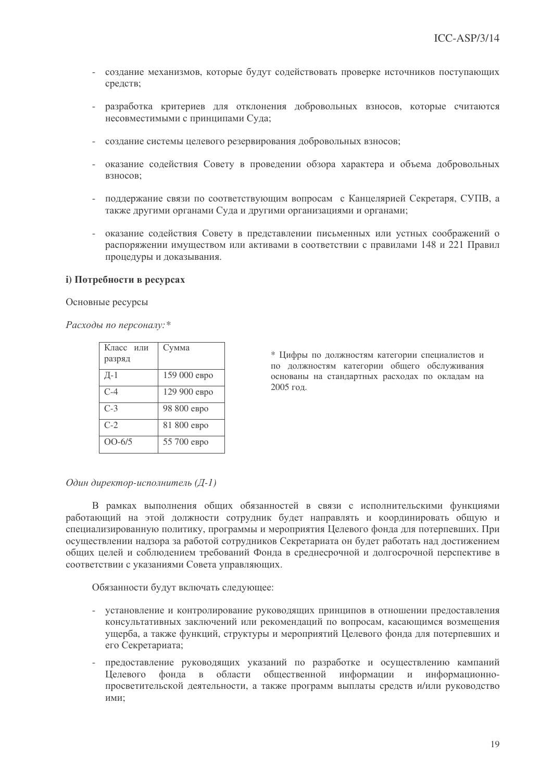- создание механизмов, которые будут содействовать проверке источников поступающих средств;
- разработка критериев для отклонения добровольных взносов, которые считаются несовместимыми с принципами Суда;
- создание системы целевого резервирования добровольных взносов;
- оказание солействия Совету в провелении обзора характера и объема лобровольных B3HOCOB:
- поддержание связи по соответствующим вопросам с Канцелярией Секретаря, СУПВ, а также другими органами Суда и другими организациями и органами;
- оказание содействия Совету в представлении письменных или устных соображений о распоряжении имуществом или активами в соответствии с правилами 148 и 221 Правил процедуры и доказывания.

## і) Потребности в ресурсах

#### Основные ресурсы

Расходы по персоналу:\*

| Класс или<br>разряд | Сумма        |
|---------------------|--------------|
| Д-1                 | 159 000 евро |
| $C-4$               | 129 900 евро |
| $C-3$               | 98 800 евро  |
| $C-2$               | 81 800 евро  |
| $OO-6/5$            | 55 700 евро  |

\* Цифры по должностям категории специалистов и по должностям категории общего обслуживания основаны на стандартных расходах по окладам на 2005 год.

## Один директор-исполнитель (Д-1)

В рамках выполнения общих обязанностей в связи с исполнительскими функциями работающий на этой должности сотрудник будет направлять и координировать общую и специализированную политику, программы и мероприятия Целевого фонда для потерпевших. При осуществлении надзора за работой сотрудников Секретариата он будет работать над достижением общих целей и соблюдением требований Фонда в среднесрочной и долгосрочной перспективе в соответствии с указаниями Совета управляющих.

Обязанности будут включать следующее:

- установление и контролирование руководящих принципов в отношении предоставления консультативных заключений или рекомендаций по вопросам, касающимся возмещения ущерба, а также функций, структуры и мероприятий Целевого фонда для потерпевших и его Секретариата;
- предоставление руководящих указаний по разработке и осуществлению кампаний Пелевого фонда в области общественной информации и информационнопросветительской деятельности, а также программ выплаты средств и/или руководство ими: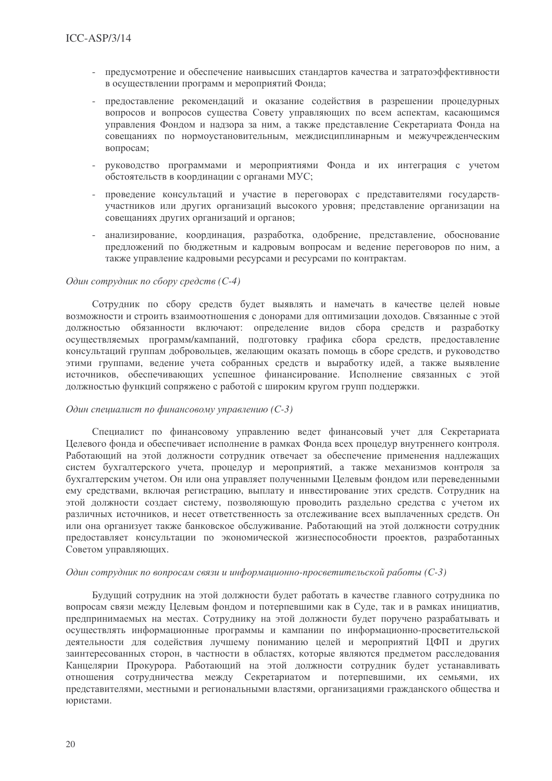- предусмотрение и обеспечение наивысших стандартов качества и затратоэффективности в осуществлении программ и мероприятий Фонда;
- предоставление рекомендаций и оказание содействия в разрешении процедурных вопросов и вопросов существа Совету управляющих по всем аспектам, касающимся управления Фондом и надзора за ним, а также представление Секретариата Фонда на совещаниях по нормоустановительным, междисциплинарным и межучрежденческим вопросам;
- руководство программами и мероприятиями Фонда и их интеграция с учетом обстоятельств в координации с органами МУС;
- проведение консультаций и участие в переговорах с представителями государствучастников или других организаций высокого уровня; представление организации на совещаниях других организаций и органов;
- анализирование, координация, разработка, одобрение, представление, обоснование предложений по бюджетным и кадровым вопросам и ведение переговоров по ним, а также управление кадровыми ресурсами и ресурсами по контрактам.

## Один сотрудник по сбору средств (С-4)

Сотрудник по сбору средств будет выявлять и намечать в качестве целей новые возможности и строить взаимоотношения с донорами для оптимизации доходов. Связанные с этой должностью обязанности включают: определение видов сбора средств и разработку осуществляемых программ/кампаний, подготовку графика сбора средств, предоставление консультаций группам добровольцев, желающим оказать помощь в сборе средств, и руководство этими группами, ведение учета собранных средств и выработку идей, а также выявление источников, обеспечивающих успешное финансирование. Исполнение связанных с этой должностью функций сопряжено с работой с широким кругом групп поддержки.

### Один специалист по финансовому управлению (С-3)

Специалист по финансовому управлению ведет финансовый учет для Секретариата Целевого фонда и обеспечивает исполнение в рамках Фонда всех процедур внутреннего контроля. Работающий на этой должности сотрудник отвечает за обеспечение применения наллежащих систем бухгалтерского учета, процедур и мероприятий, а также механизмов контроля за бухгалтерским учетом. Он или она управляет полученными Пелевым фондом или перевеленными ему средствами, включая регистрацию, выплату и инвестирование этих средств. Сотрудник на этой должности создает систему, позволяющую проводить раздельно средства с учетом их различных источников, и несет ответственность за отслеживание всех выплаченных средств. Он или она организует также банковское обслуживание. Работающий на этой должности сотрудник предоставляет консультации по экономической жизнеспособности проектов, разработанных Советом управляющих.

## Один сотрудник по вопросам связи и информационно-просветительской работы (С-3)

Будуший сотрудник на этой должности будет работать в качестве главного сотрудника по вопросам связи между Целевым фондом и потерпевшими как в Суде, так и в рамках инициатив, предпринимаемых на местах. Сотруднику на этой должности будет поручено разрабатывать и осуществлять информационные программы и кампании по информационно-просветительской деятельности для содействия лучшему пониманию целей и мероприятий ЦФП и других заинтересованных сторон, в частности в областях, которые являются предметом расследования Канцелярии Прокурора. Работающий на этой должности сотрудник будет устанавливать отношения сотрудничества между Секретариатом и потерпевшими, их семьями, их представителями, местными и региональными властями, организациями гражданского общества и юристами.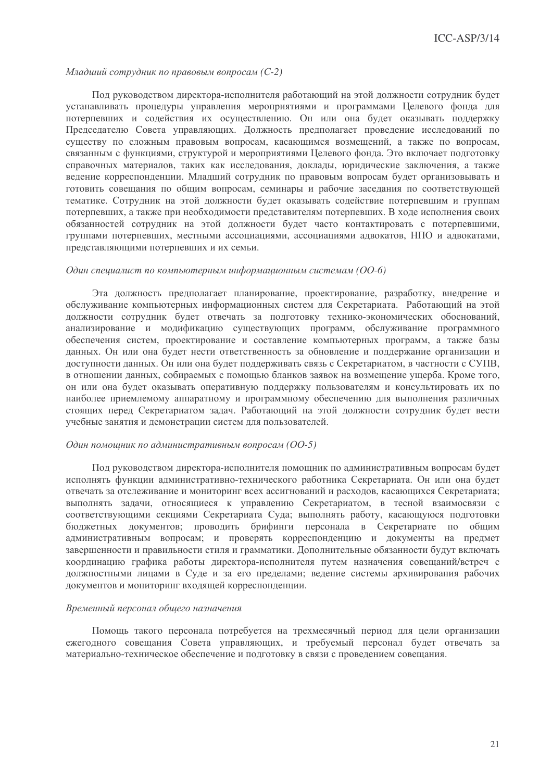#### Младший сотрудник по правовым вопросам (С-2)

Под руководством директора-исполнителя работающий на этой должности сотрудник будет устанавливать процедуры управления мероприятиями и программами Целевого фонда для потерпевших и содействия их осуществлению. Он или она будет оказывать поддержку Председателю Совета управляющих. Должность предполагает проведение исследований по существу по сложным правовым вопросам, касающимся возмещений, а также по вопросам, связанным с функциями, структурой и мероприятиями Целевого фонда. Это включает подготовку справочных материалов, таких как исследования, доклады, юридические заключения, а также ведение корреспонденции. Младший сотрудник по правовым вопросам будет организовывать и готовить совещания по общим вопросам, семинары и рабочие заседания по соответствующей тематике. Сотрудник на этой лоджности будет оказывать солействие потерпевшим и группам потерпевших, а также при необходимости представителям потерпевших. В ходе исполнения своих обязанностей сотрудник на этой должности будет часто контактировать с потерпевшими, группами потерпевших, местными ассоциациями, ассоциациями адвокатов, НПО и адвокатами, представляющими потерпевших и их семьи.

#### Один специалист по компьютерным информационным системам (ОО-6)

Эта должность предполагает планирование, проектирование, разработку, внедрение и обслуживание компьютерных информационных систем для Секретариата. Работающий на этой должности сотрудник будет отвечать за подготовку технико-экономических обоснований, анализирование и модификацию существующих программ, обслуживание программного обеспечения систем, проектирование и составление компьютерных программ, а также базы данных. Он или она будет нести ответственность за обновление и поддержание организации и доступности данных. Он или она будет поддерживать связь с Секретариатом, в частности с СУПВ, в отношении данных, собираемых с помощью бланков заявок на возмещение ущерба. Кроме того, он или она будет оказывать оперативную поддержку пользователям и консультировать их по наиболее приемлемому аппаратному и программному обеспечению для выполнения различных стоящих перед Секретариатом задач. Работающий на этой должности сотрудник будет вести учебные занятия и демонстрации систем для пользователей.

#### Один помощник по административным вопросам (ОО-5)

Под руководством директора-исполнителя помощник по административным вопросам будет исполнять функции административно-технического работника Секретариата. Он или она будет отвечать за отслеживание и мониторинг всех ассигнований и расходов, касающихся Секретариата; выполнять задачи, относящиеся к управлению Секретариатом, в тесной взаимосвязи с соответствующими секциями Секретариата Суда; выполнять работу, касающуюся подготовки бюджетных документов; проводить брифинги персонала в Секретариате по общим административным вопросам; и проверять корреспонденцию и документы на предмет завершенности и правильности стиля и грамматики. Лополнительные обязанности булут включать координацию графика работы директора-исполнителя путем назначения совещаний/встреч с должностными лицами в Суде и за его пределами; ведение системы архивирования рабочих документов и мониторинг входящей корреспонденции.

#### Временный персонал общего назначения

Помощь такого персонала потребуется на трехмесячный период для цели организации ежегодного совещания Совета управляющих, и требуемый персонал будет отвечать за материально-техническое обеспечение и подготовку в связи с проведением совещания.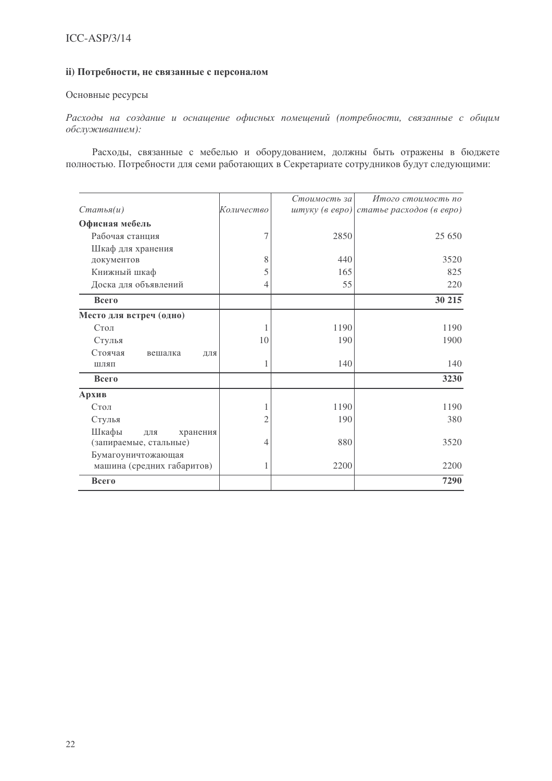## іі) Потребности, не связанные с персоналом

## Основные ресурсы

Расходы на создание и оснащение офисных помещений (потребности, связанные с общим обслуживанием):

Расходы, связанные с мебелью и оборудованием, должны быть отражены в бюджете полностью. Потребности для семи работающих в Секретариате сотрудников будут следующими:

|                            |            | Стоимость за | Итого стоимость по                      |
|----------------------------|------------|--------------|-----------------------------------------|
| $C$ татья $(u)$            | Количество |              | штуку (в евро) статье расходов (в евро) |
| Офисная мебель             |            |              |                                         |
| Рабочая станция            | 7          | 2850         | 25 650                                  |
| Шкаф для хранения          |            |              |                                         |
| документов                 | 8          | 440          | 3520                                    |
| Книжный шкаф               | 5          | 165          | 825                                     |
| Доска для объявлений       | 4          | 55           | 220                                     |
| Всего                      |            |              | 30 215                                  |
| Место для встреч (одно)    |            |              |                                         |
| Стол                       | 1          | 1190         | 1190                                    |
| Стулья                     | 10         | 190          | 1900                                    |
| Стоячая<br>вешалка<br>ДЛЯ  |            |              |                                         |
| ШЛЯП                       | 1          | 140          | 140                                     |
| Всего                      |            |              | 3230                                    |
| Архив                      |            |              |                                         |
| Стол                       | 1          | 1190         | 1190                                    |
| Стулья                     | 2          | 190          | 380                                     |
| Шкафы<br>ДЛЯ<br>хранения   |            |              |                                         |
| (запираемые, стальные)     | 4          | 880          | 3520                                    |
| Бумагоуничтожающая         |            |              |                                         |
| машина (средних габаритов) |            | 2200         | 2200                                    |
| Всего                      |            |              | 7290                                    |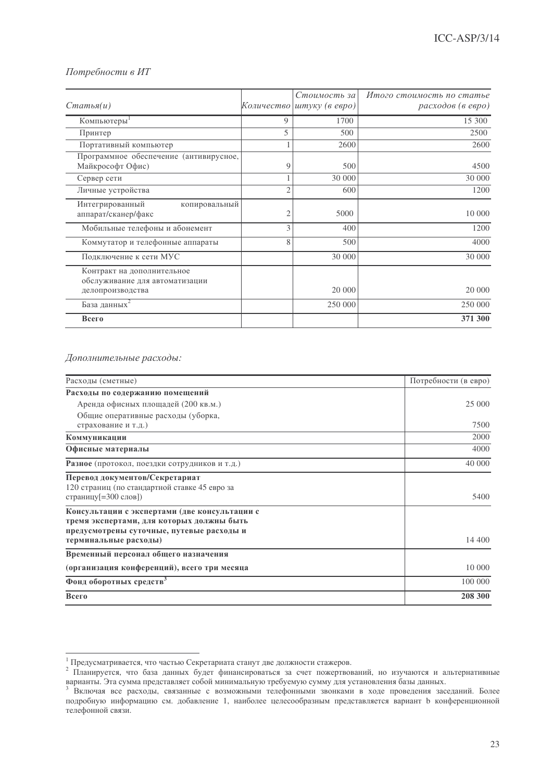## Потребности в ИТ

| $C$ татья $(u)$                                                                  |   | Стоимость за<br>Количество   штуку (в евро) | Итого стоимость по статье<br>расходов (в евро) |
|----------------------------------------------------------------------------------|---|---------------------------------------------|------------------------------------------------|
| Компьютеры <sup>1</sup>                                                          | 9 | 1700                                        | 15 300                                         |
| Принтер                                                                          | 5 | 500                                         | 2500                                           |
| Портативный компьютер                                                            |   | 2600                                        | 2600                                           |
| Программное обеспечение (антивирусное,<br>Майкрософт Офис)                       | 9 | 500                                         | 4500                                           |
| Сервер сети                                                                      |   | 30 000                                      | 30 000                                         |
| Личные устройства                                                                | 2 | 600                                         | 1200                                           |
| Интегрированный<br>копировальный<br>аппарат/сканер/факс                          | 2 | 5000                                        | 10 000                                         |
| Мобильные телефоны и абонемент                                                   | 3 | 400                                         | 1200                                           |
| Коммутатор и телефонные аппараты                                                 | 8 | 500                                         | 4000                                           |
| Подключение к сети МУС                                                           |   | 30 000                                      | 30 000                                         |
| Контракт на дополнительное<br>обслуживание для автоматизации<br>делопроизводства |   | 20 000                                      | 20 000                                         |
| База данных <sup>2</sup>                                                         |   | 250 000                                     | 250 000                                        |
| Всего                                                                            |   |                                             | 371 300                                        |

#### Дополнительные расходы:

| Расходы (сметные)                                                               | Потребности (в евро) |
|---------------------------------------------------------------------------------|----------------------|
| Расходы по содержанию помещений                                                 |                      |
| Аренда офисных площадей (200 кв.м.)                                             | 25 000               |
| Общие оперативные расходы (уборка,                                              |                      |
| страхование и т.д.)                                                             | 7500                 |
| Коммуникации                                                                    | 2000                 |
| Офисные материалы                                                               | 4000                 |
| Разное (протокол, поездки сотрудников и т.д.)                                   | 40 000               |
| Перевод документов/Секретариат<br>120 страниц (по стандартной ставке 45 евро за |                      |
| страницу[=300 слов])                                                            | 5400                 |
| Консультации с экспертами (две консультации с                                   |                      |
| тремя экспертами, для которых должны быть                                       |                      |
| предусмотрены суточные, путевые расходы и<br>терминальные расходы)              | 14 400               |
| Временный персонал общего назначения                                            |                      |
| (организация конференций), всего три месяца                                     | 10 000               |
| Фонд оборотных средств <sup>3</sup>                                             | 100 000              |
| Всего                                                                           | 208 300              |

Предусматривается, что частью Секретариата станут две должности стажеров.<br>
<sup>2</sup> Планируется, что база данных будет финансироваться за счет пожертвований, но изучаются и альтернативные<br>
варианты. Эта сумма представляет собо

подробную информацию см. добавление 1, наиболее целесообразным представляется вариант b конференционной телефонной связи.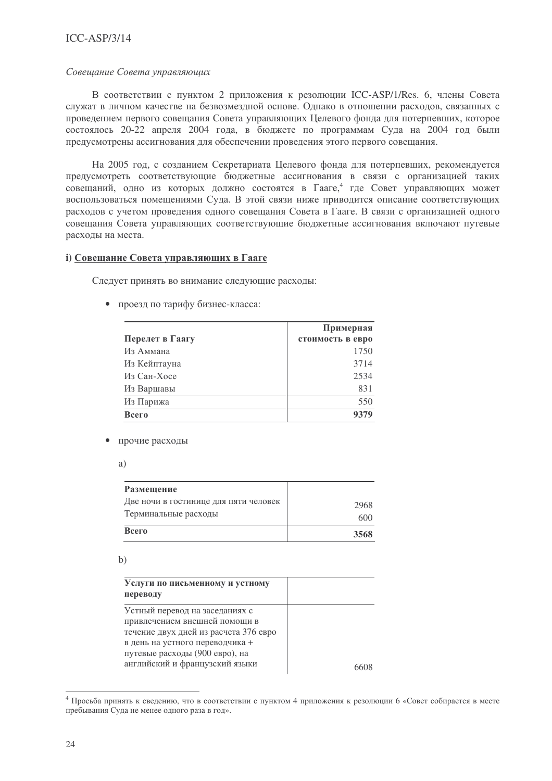## Совещание Совета управляющих

В соответствии с пунктом 2 приложения к резолюции ICC-ASP/1/Res. 6, члены Совета служат в личном качестве на безвозмездной основе. Однако в отношении расходов, связанных с проведением первого совещания Совета управляющих Целевого фонда для потерпевших, которое состоялось 20-22 апреля 2004 года, в бюджете по программам Суда на 2004 год были предусмотрены ассигнования для обеспечении проведения этого первого совещания.

На 2005 год, с созданием Секретариата Целевого фонда для потерпевших, рекомендуется предусмотреть соответствующие бюджетные ассигнования в связи с организацией таких совещаний, одно из которых должно состоятся в Гааге,<sup>4</sup> где Совет управляющих может воспользоваться помещениями Суда. В этой связи ниже приводится описание соответствующих расходов с учетом проведения одного совещания Совета в Гааге. В связи с организацией одного совещания Совета управляющих соответствующие бюджетные ассигнования включают путевые расходы на места.

## і) Совещание Совета управляющих в Гааге

Следует принять во внимание следующие расходы:

• проезд по тарифу бизнес-класса:

|                 | Примерная        |
|-----------------|------------------|
| Перелет в Гаагу | стоимость в евро |
| Из Аммана       | 1750             |
| Из Кейптауна    | 3714             |
| Из Сан-Хосе     | 2534             |
| Из Варшавы      | 831              |
| Из Парижа       | 550              |
| Всего           | 9379             |

прочие расходы

| I                |                   |
|------------------|-------------------|
| ٧<br>٦<br>$\sim$ | ш                 |
|                  | ¢<br>I<br>ł<br>×. |

| Размещение                                                    |             |
|---------------------------------------------------------------|-------------|
| Две ночи в гостинице для пяти человек<br>Терминальные расходы | 2968<br>600 |
| <b>Bcero</b>                                                  | 3568        |

 $b)$ 

| Услуги по письменному и устному<br>переводу |  |
|---------------------------------------------|--|
| Устный перевод на заседаниях с              |  |
| привлечением внешней помощи в               |  |
| течение двух дней из расчета 376 евро       |  |
| в день на устного переводчика +             |  |
| путевые расходы (900 евро), на              |  |
| английский и французский языки              |  |

<sup>&</sup>lt;sup>4</sup> Просьба принять к сведению, что в соответствии с пунктом 4 приложения к резолюции 6 «Совет собирается в месте пребывания Суда не менее одного раза в год».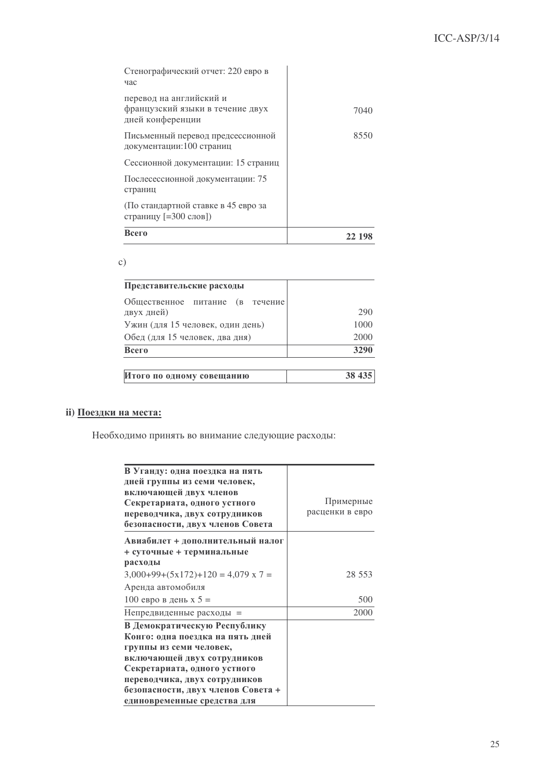| Всего                                                                           | 22 198 |
|---------------------------------------------------------------------------------|--------|
| (По стандартной ставке в 45 евро за<br>страницу [=300 слов])                    |        |
| Послесессионной документации: 75<br>страниц                                     |        |
| Сессионной документации: 15 страниц                                             |        |
| Письменный перевод предсессионной<br>документации:100 страниц                   | 8550   |
| перевод на английский и<br>французский языки в течение двух<br>дней конференции | 7040   |
| Стенографический отчет: 220 евро в<br>час                                       |        |

## $\circ$ )

| Представительские расходы                     |        |
|-----------------------------------------------|--------|
| Общественное питание (в течение<br>двух дней) | 290    |
| Ужин (для 15 человек, один день)              | 1000   |
| Обед (для 15 человек, два дня)                | 2000   |
| Всего                                         | 3290   |
| Итого по одному совещанию                     | 38 435 |

## іі) Поездки на места:

Необходимо принять во внимание следующие расходы:

| В Уганду: одна поездка на пять         |                 |
|----------------------------------------|-----------------|
| дней группы из семи человек,           |                 |
| включающей двух членов                 |                 |
| Секретариата, одного устного           | Примерные       |
| переводчика, двух сотрудников          | расценки в евро |
| безопасности, двух членов Совета       |                 |
| Авиабилет + дополнительный налог       |                 |
| + суточные + терминальные              |                 |
| расходы                                |                 |
| $3,000+99+(5x172)+120=4,079 \times 7=$ | 28 5 5 3        |
| Аренда автомобиля                      |                 |
| 100 евро в день х $5 =$                | 500             |
| Непредвиденные расходы =               | 2000            |
| В Демократическую Республику           |                 |
| Конго: одна поездка на пять дней       |                 |
| группы из семи человек,                |                 |
| включающей двух сотрудников            |                 |
| Секретариата, одного устного           |                 |
| переводчика, двух сотрудников          |                 |
| безопасности, двух членов Совета +     |                 |
| единовременные средства для            |                 |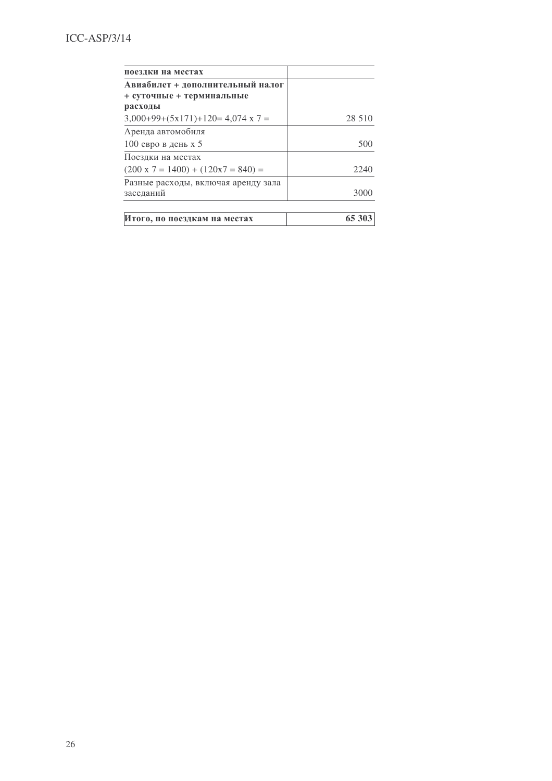| поездки на местах                                |         |
|--------------------------------------------------|---------|
| Авиабилет + дополнительный налог                 |         |
| + суточные + терминальные                        |         |
| расходы                                          |         |
| $3,000+99+(5x171)+120=4,074 \times 7=$           | 28 5 10 |
| Аренда автомобиля                                |         |
| 100 евро в день х 5                              | 500     |
| Поездки на местах                                |         |
| $(200 \times 7 = 1400) + (120 \times 7 = 840) =$ | 2240    |
| Разные расходы, включая аренду зала              |         |
| заседаний                                        | 3000    |
|                                                  | 65 303  |
| Итого, по поездкам на местах                     |         |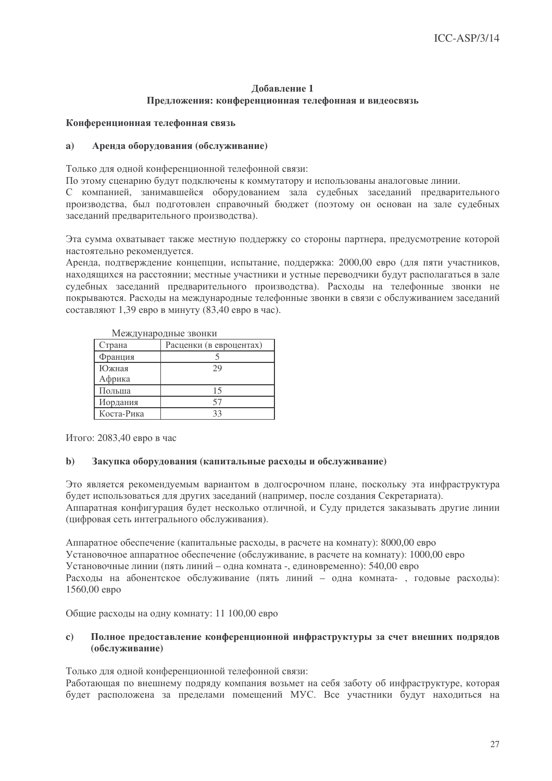## Лобавление 1 Предложения: конференционная телефонная и видеосвязь

## Конференционная телефонная связь

#### $a)$ Аренда оборудования (обслуживание)

Только для одной конференционной телефонной связи:

По этому сценарию будут подключены к коммутатору и использованы аналоговые линии.

С компанией, занимавшейся оборудованием зала судебных заселаний предварительного производства, был подготовлен справочный бюджет (поэтому он основан на зале судебных заседаний предварительного производства).

Эта сумма охватывает также местную поддержку со стороны партнера, предусмотрение которой настоятельно рекомендуется.

Аренда, подтверждение концепции, испытание, поддержка: 2000,00 евро (для пяти участников, находящихся на расстоянии; местные участники и устные переводчики будут располагаться в зале судебных заседаний предварительного производства). Расходы на телефонные звонки не покрываются. Расходы на международные телефонные звонки в связи с обслуживанием заседаний составляют 1,39 евро в минуту (83,40 евро в час).

| ічісждународные звонки |                         |
|------------------------|-------------------------|
| Страна                 | Расценки (в евроцентах) |
| Франция                |                         |
| Южная                  | 29                      |
| Африка                 |                         |
| Польша                 | 15                      |
| Иордания               | 57                      |
| Коста-Рика             | 33                      |
|                        |                         |

Movementono ultra apolitica

Итого: 2083,40 евро в час

#### Закупка оборудования (капитальные расходы и обслуживание)  $\mathbf{b}$

Это является рекомендуемым вариантом в долгосрочном плане, поскольку эта инфраструктура будет использоваться для других заседаний (например, после создания Секретариата). Аппаратная конфигурация будет несколько отличной, и Суду придется заказывать другие линии (цифровая сеть интегрального обслуживания).

Аппаратное обеспечение (капитальные расходы, в расчете на комнату): 8000,00 евро Установочное аппаратное обеспечение (обслуживание, в расчете на комнату): 1000,00 евро Установочные линии (пять линий - одна комната -, единовременно): 540,00 евро Расходы на абонентское обслуживание (пять линий - одна комната-, годовые расходы): 1560,00 евро

Общие расходы на одну комнату: 11 100,00 евро

#### $\mathbf{c}$ Полное предоставление конференционной инфраструктуры за счет внешних подрядов (обслуживание)

Только для одной конференционной телефонной связи:

Работающая по внешнему подряду компания возьмет на себя заботу об инфраструктуре, которая будет расположена за пределами помещений МУС. Все участники будут находиться на